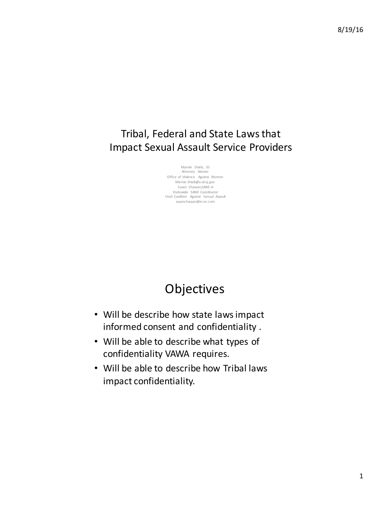### Tribal, Federal and State Laws that Impact Sexual Assault Service Providers

Marnie Shiels, JD Attorney Advisor Office of Violence Against Women Marnie.Shiels@u sd oj.gov Susan Chasson, SANE-A Statewide SANE Coordinator Utah Coalition Against Sexual Assault susanchasson@m sn.com

# **Objectives**

- Will be describe how state laws impact informed consent and confidentiality.
- Will be able to describe what types of confidentiality VAWA requires.
- Will be able to describe how Tribal laws impact confidentiality.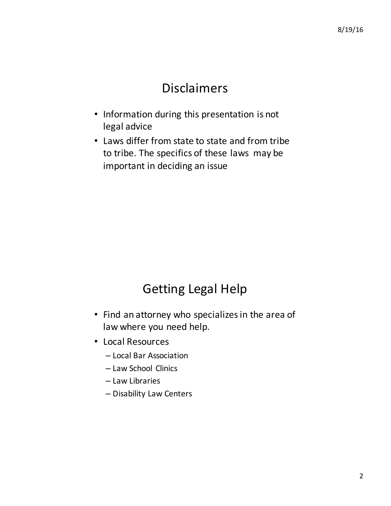# Disclaimers

- Information during this presentation is not legal advice
- Laws differ from state to state and from tribe to tribe. The specifics of these laws may be important in deciding an issue

# **Getting Legal Help**

- Find an attorney who specializes in the area of law where you need help.
- Local Resources
	- Local Bar Association
	- Law School Clinics
	- Law Libraries
	- Disability Law Centers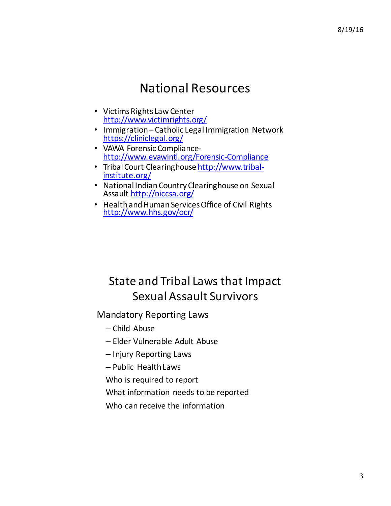## National Resources

- Victims Rights Law Center http://www.victimrights.org/
- Immigration Catholic Legal Immigration Network https://cliniclegal.org/
- VAWA Forensic Compliance-<br>http://www.evawintl.org/Forensic-Compliance
- Tribal Court Clearinghouse http://www.tribal-<br>institute.org/
- National Indian Country Clearinghouse on Sexual Assault http://niccsa.org/
- Health and Human Services Office of Civil Rights<br>http://www.hhs.gov/ocr/

## State and Tribal Laws that Impact Sexual Assault Survivors

#### **Mandatory Reporting Laws**

- Child Abuse
- Elder Vulnerable Adult Abuse
- Injury Reporting Laws
- Public Health Laws
- Who is required to report
- What information needs to be reported
- Who can receive the information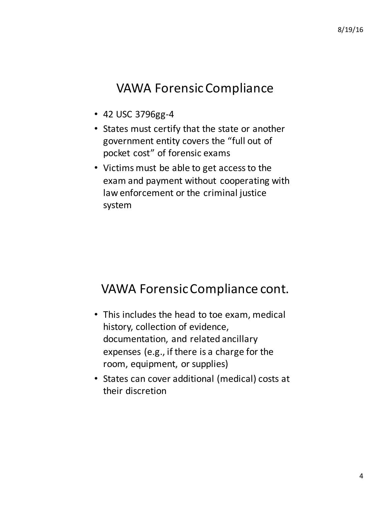## **VAWA Forensic Compliance**

- 42 USC 3796gg-4
- States must certify that the state or another government entity covers the "full out of pocket cost" of forensic exams
- Victims must be able to get access to the exam and payment without cooperating with law enforcement or the criminal justice system

## VAWA Forensic Compliance cont.

- This includes the head to toe exam, medical history, collection of evidence, documentation, and related ancillary expenses (e.g., if there is a charge for the room, equipment, or supplies)
- States can cover additional (medical) costs at their discretion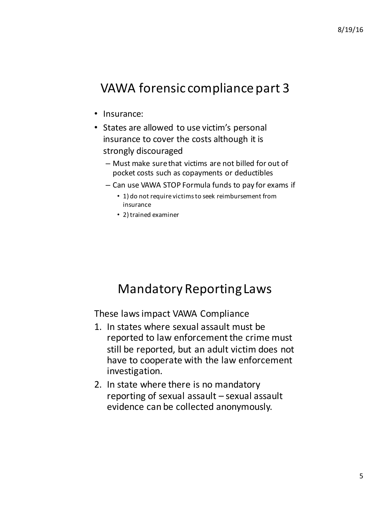## VAWA forensic compliance part 3

- Insurance:
- States are allowed to use victim's personal insurance to cover the costs although it is strongly discouraged
	- $-$  Must make sure that victims are not billed for out of pocket costs such as copayments or deductibles
	- $-$  Can use VAWA STOP Formula funds to pay for exams if
		- 1) do not require victims to seek reimbursement from insurance
		- 2) trained examiner

## **Mandatory Reporting Laws**

These laws impact VAWA Compliance

- 1. In states where sexual assault must be reported to law enforcement the crime must still be reported, but an adult victim does not have to cooperate with the law enforcement investigation.
- 2. In state where there is no mandatory reporting of sexual assault  $-$  sexual assault evidence can be collected anonymously.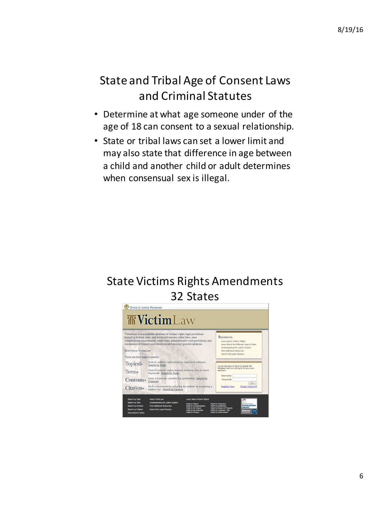## State and Tribal Age of Consent Laws and Criminal Statutes

- Determine at what age someone under of the age of 18 can consent to a sexual relationship.
- State or tribal laws can set a lower limit and may also state that difference in age between a child and another child or adult determines when consensual sex is illegal.

# State Victims Rights Amendments 32 States

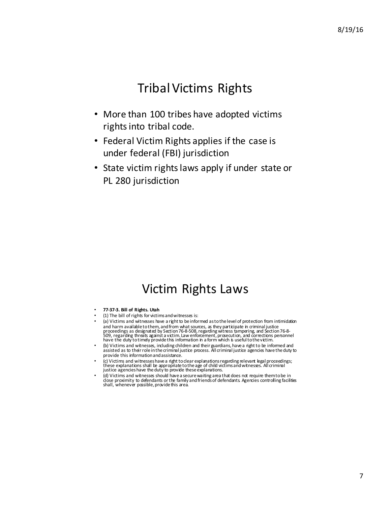## **Tribal Victims Rights**

- More than 100 tribes have adopted victims rights into tribal code.
- Federal Victim Rights applies if the case is under federal (FBI) jurisdiction
- State victim rights laws apply if under state or PL 280 jurisdiction

## Victim Rights Laws

- **77-37-3. Bill of Rights. Utah**
- $(1)$  The bill of rights for victims and witnesses is:
- (a) Victims and witnesses have a right to be informed as to the level of protection from intimidation and harm available to them, and from what sources, as they participate in criminal justice<br>proceedings as designated by Section 76-8-508, regarding witness tampering, and Section 76-8-<br>509, regarding threats against a vict have the duty to timely provide this information in a form which is useful to the victim.
- (b) Victims and witnesses, including children and their guardians, have a right to be informed and<br>assisted as to their role in the criminal justice process. All criminal justice agencies have the duty to provide this information and assistance.
- (c) Victims and witnesses have a right to clear explanations regarding relevant legal proceedings;<br>these explanations shall be appropriate to the age of child victims and witnesses. All criminal justice agencies have the duty to provide these explanations.
- (d) Victims and witnesses should have a secure waiting area that does not require them to be in<br>close proximity to defendants or the family and friends of defendants. Agencies controlling facilities<br>shall, whenever possi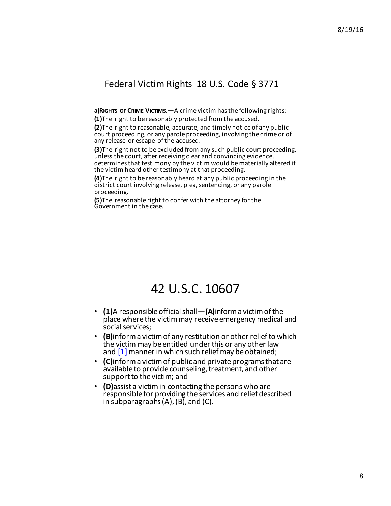#### Federal Victim Rights 18 U.S. Code § 3771

**a)RIGHTS** OF CRIME VICTIMS.—A crime victim has the following rights:

**(1)**The right to be reasonably protected from the accused. **(2)**The right to reasonable, accurate, and timely notice of any public court proceeding, or any parole proceeding, involving the crime or of

any release or escape of the accused.

**(3)**The right not to be excluded from any such public court proceeding, unless the court, after receiving clear and convincing evidence, determines that testimony by the victim would be materially altered if the victim heard other testimony at that proceeding.

**(4)**The right to be reasonably heard at any public proceeding in the district court involving release, plea, sentencing, or any parole proceeding.

**(5)**The reasonable right to confer with the attorney for the Government in the case.

### 42 U.S.C. 10607

- **(1)**A responsible official shall—**(A)**inform a victim of the place where the victim may receive emergency medical and social services;
- **(B)** inform a victim of any restitution or other relief to which the victim may be entitled under this or any other law and  $[1]$  manner in which such relief may be obtained;
- **(C)**inform a victim of public and private programs that are available to provide counseling, treatment, and other support to the victim; and
- **(D)** assist a victim in contacting the persons who are responsible for providing the services and relief described in subparagraphs  $(A)$ ,  $(B)$ , and  $(C)$ .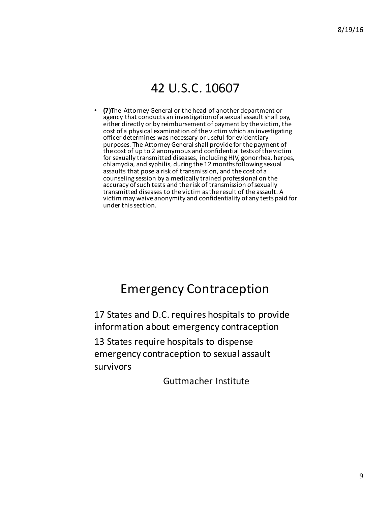## 42 U.S.C. 10607

**(7)**The Attorney General or the head of another department or agency that conducts an investigation of a sexual assault shall pay, either directly or by reimbursement of payment by the victim, the cost of a physical examination of the victim which an investigating officer determines was necessary or useful for evidentiary purposes. The Attorney General shall provide for the payment of the cost of up to 2 anonymous and confidential tests of the victim for sexually transmitted diseases, including HIV, gonorrhea, herpes, chlamydia, and syphilis, during the 12 months following sexual assaults that pose a risk of transmission, and the cost of a counseling session by a medically trained professional on the accuracy of such tests and the risk of transmission of sexually transmitted diseases to the victim as the result of the assault. A victim may waive anonymity and confidentiality of any tests paid for under this section.

## Emergency Contraception

17 States and D.C. requires hospitals to provide information about emergency contraception

13 States require hospitals to dispense emergency contraception to sexual assault survivors 

Guttmacher Institute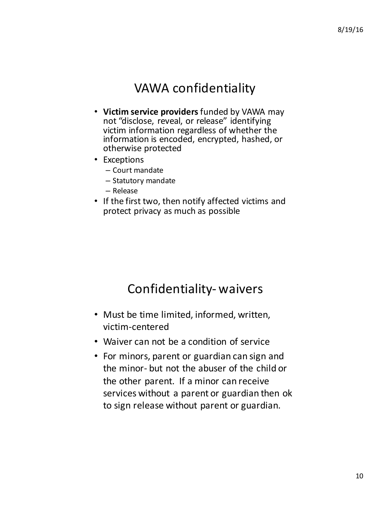## **VAWA** confidentiality

- Victim service providers funded by VAWA may not "disclose, reveal, or release" identifying victim information regardless of whether the information is encoded, encrypted, hashed, or otherwise protected
- Exceptions
	- Court mandate
	- Statutory mandate
	- Release
- If the first two, then notify affected victims and protect privacy as much as possible

### Confidentiality- waivers

- Must be time limited, informed, written, victim-centered
- Waiver can not be a condition of service
- For minors, parent or guardian can sign and the minor- but not the abuser of the child or the other parent. If a minor can receive services without a parent or guardian then ok to sign release without parent or guardian.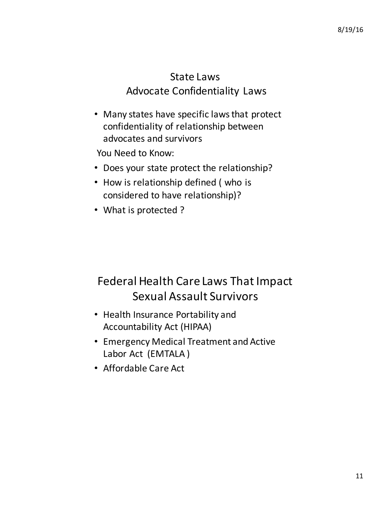#### State Laws **Advocate Confidentiality Laws**

• Many states have specific laws that protect confidentiality of relationship between advocates and survivors

You Need to Know:

- Does your state protect the relationship?
- How is relationship defined (who is considered to have relationship)?
- What is protected?

# Federal Health Care Laws That Impact Sexual Assault Survivors

- Health Insurance Portability and Accountability Act (HIPAA)
- Emergency Medical Treatment and Active Labor Act (EMTALA)
- Affordable Care Act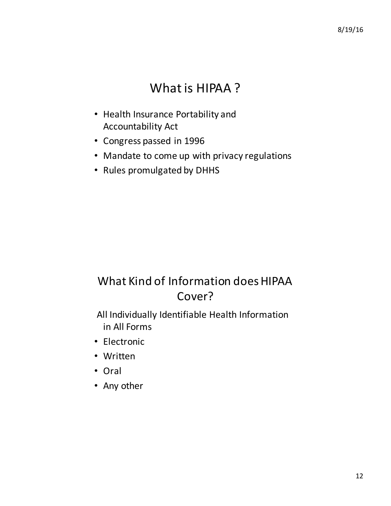# What is HIPAA?

- Health Insurance Portability and **Accountability Act**
- Congress passed in 1996
- Mandate to come up with privacy regulations
- Rules promulgated by DHHS

# What Kind of Information does HIPAA Cover?

All Individually Identifiable Health Information in All Forms

- Electronic
- Written
- Oral
- Any other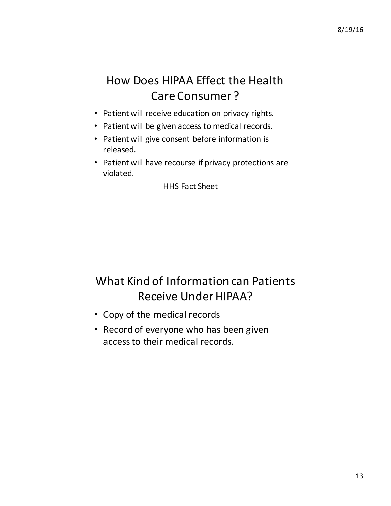## How Does HIPAA Effect the Health Care Consumer?

- Patient will receive education on privacy rights.
- Patient will be given access to medical records.
- Patient will give consent before information is released.
- Patient will have recourse if privacy protections are violated.

**HHS** Fact Sheet

# What Kind of Information can Patients Receive Under HIPAA?

- Copy of the medical records
- Record of everyone who has been given access to their medical records.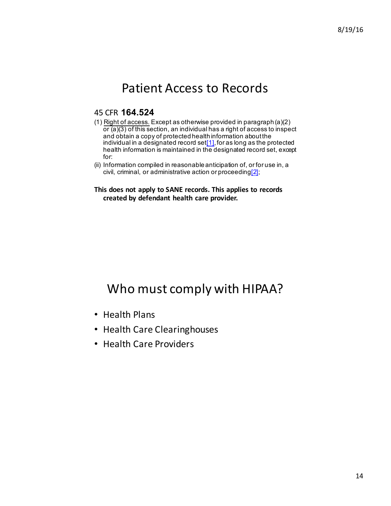## Patient Access to Records

#### 45 CFR **164.524**

- (1) Right of access. Except as otherwise provided in paragraph (a)(2)  $\overline{or}$  (a)(3) of this section, an individual has a right of access to inspect and obtain a copy of protected health information about the individual in a designated record set[1], for as long as the protected health information is maintained in the designated record set, except for:
- (ii) Information compiled in reasonable anticipation of, or for use in, a civil, criminal, or administrative action or proceeding $[2]$ ;

#### This does not apply to SANE records. This applies to records **created by defendant health care provider.**

## Who must comply with HIPAA?

- Health Plans
- Health Care Clearinghouses
- Health Care Providers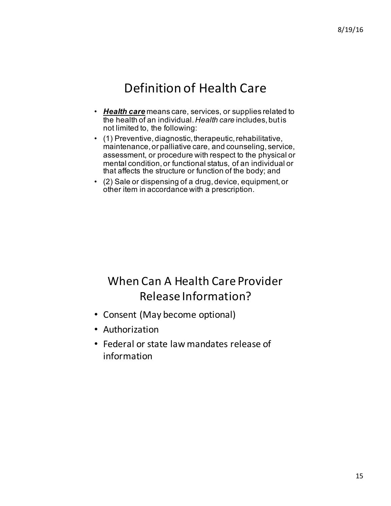## Definition of Health Care

- *Health care* means care, services, or supplies related to the health of an individual. *Health care* includes, but is not limited to, the following:
- (1) Preventive, diagnostic, therapeutic, rehabilitative, maintenance, or palliative care, and counseling, service, assessment, or procedure with respect to the physical or mental condition, or functional status, of an individual or that affects the structure or function of the body; and
- (2) Sale or dispensing of a drug, device, equipment, or other item in accordance with a prescription.

## When Can A Health Care Provider Release Information?

- Consent (May become optional)
- Authorization
- Federal or state law mandates release of information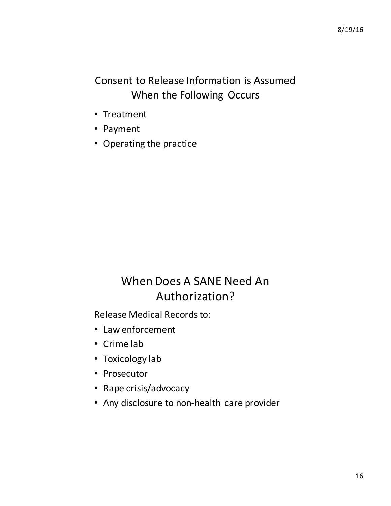#### Consent to Release Information is Assumed When the Following Occurs

- Treatment
- Payment
- Operating the practice

## When Does A SANE Need An Authorization?

Release Medical Records to:

- Law enforcement
- Crime lab
- Toxicology lab
- Prosecutor
- Rape crisis/advocacy
- Any disclosure to non-health care provider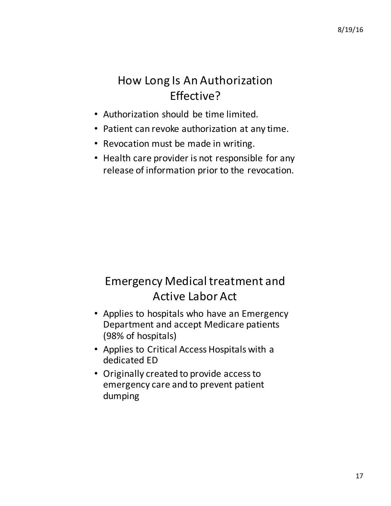## How Long Is An Authorization Effective?

- Authorization should be time limited.
- Patient can revoke authorization at any time.
- Revocation must be made in writing.
- Health care provider is not responsible for any release of information prior to the revocation.

# Emergency Medical treatment and Active Labor Act

- Applies to hospitals who have an Emergency Department and accept Medicare patients (98% of hospitals)
- Applies to Critical Access Hospitals with a dedicated FD
- Originally created to provide access to emergency care and to prevent patient dumping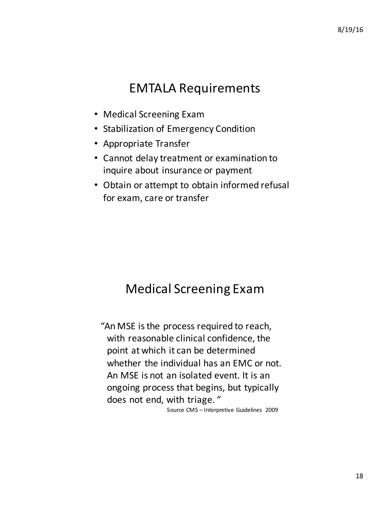## **EMTALA Requirements**

- Medical Screening Exam
- Stabilization of Emergency Condition
- Appropriate Transfer
- Cannot delay treatment or examination to inquire about insurance or payment
- Obtain or attempt to obtain informed refusal for exam, care or transfer

# **Medical Screening Exam**

"An MSE is the process required to reach, with reasonable clinical confidence, the point at which it can be determined whether the individual has an EMC or not. An MSE is not an isolated event. It is an ongoing process that begins, but typically does not end, with triage. "

Source CMS - Interpretive Guidelines 2009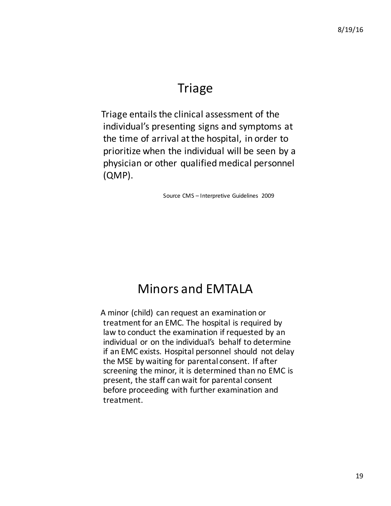## **Triage**

Triage entails the clinical assessment of the individual's presenting signs and symptoms at the time of arrival at the hospital, in order to prioritize when the individual will be seen by a physician or other qualified medical personnel (QMP).

Source CMS - Interpretive Guidelines 2009

## Minors and **FMTALA**

A minor (child) can request an examination or treatment for an EMC. The hospital is required by law to conduct the examination if requested by an individual or on the individual's behalf to determine if an EMC exists. Hospital personnel should not delay the MSE by waiting for parental consent. If after screening the minor, it is determined than no EMC is present, the staff can wait for parental consent before proceeding with further examination and treatment.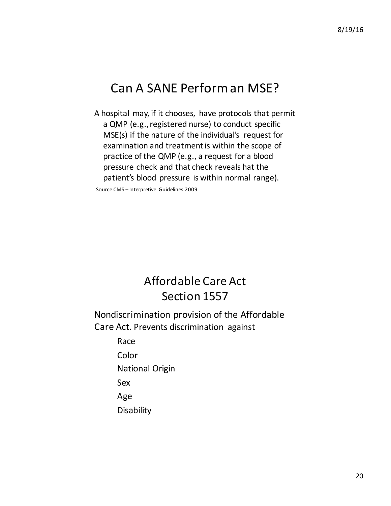## Can A SANE Perform an MSE?

A hospital may, if it chooses, have protocols that permit a QMP (e.g., registered nurse) to conduct specific  $MSE(s)$  if the nature of the individual's request for examination and treatment is within the scope of practice of the QMP (e.g., a request for a blood pressure check and that check reveals hat the patient's blood pressure is within normal range).

Source CMS – Interpretive Guidelines 2009

## Affordable Care Act Section 1557

Nondiscrimination provision of the Affordable Care Act. Prevents discrimination against

> Race Color

**National Origin** 

Sex 

Age 

**Disability**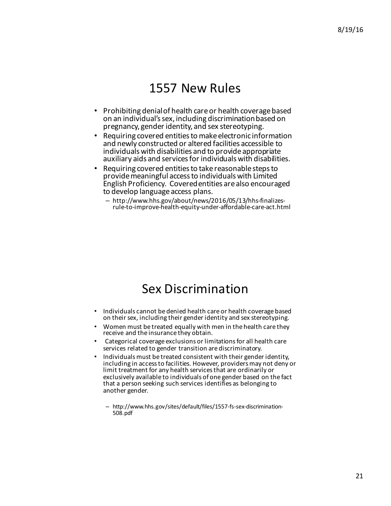### 1557 New Rules

- Prohibiting denial of health care or health coverage based on an individual's sex, including discrimination based on pregnancy, gender identity, and sex stereotyping.
- Requiring covered entities to make electronic information and newly constructed or altered facilities accessible to individuals with disabilities and to provide appropriate auxiliary aids and services for individuals with disabilities.
- Requiring covered entities to take reasonable steps to provide meaningful access to individuals with Limited English Proficiency. Covered entities are also encouraged to develop language access plans.
	- http://www.hhs.gov/about/news/2016/05/13/hhs-finalizes- rule-to-improve-health-equity-under-affordable-care-act.html

### Sex Discrimination

- Individuals cannot be denied health care or health coverage based on their sex, including their gender identity and sex stereotyping.
- Women must be treated equally with men in the health care they receive and the insurance they obtain.
- Categorical coverage exclusions or limitations for all health care services related to gender transition are discriminatory.
- Individuals must be treated consistent with their gender identity, including in access to facilities. However, providers may not deny or limit treatment for any health services that are ordinarily or exclusively available to individuals of one gender based on the fact that a person seeking such services identifies as belonging to another gender.
	- http://www.hhs.gov/sites/default/files/1557-fs-sex-discrimination-508.pdf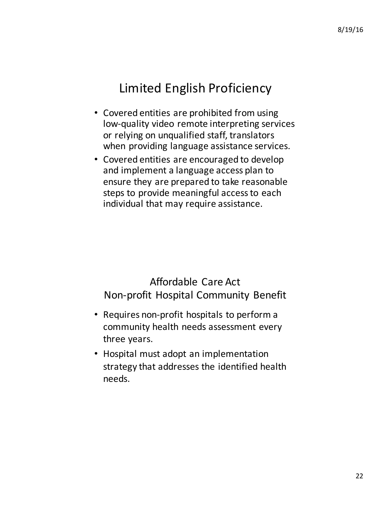## Limited English Proficiency

- Covered entities are prohibited from using low-quality video remote interpreting services or relying on unqualified staff, translators when providing language assistance services.
- Covered entities are encouraged to develop and implement a language access plan to ensure they are prepared to take reasonable steps to provide meaningful access to each individual that may require assistance.

#### Affordable Care Act Non-profit Hospital Community Benefit

- Requires non-profit hospitals to perform a community health needs assessment every three years.
- Hospital must adopt an implementation strategy that addresses the identified health needs.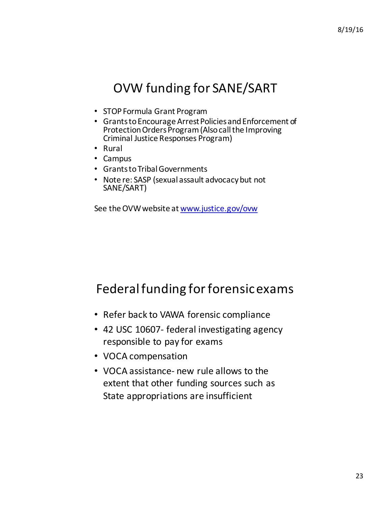# OVW funding for SANE/SART

- STOP Formula Grant Program
- Grants to Encourage Arrest Policies and Enforcement of Protection Orders Program (Also call the Improving Criminal Justice Responses Program)
- Rural
- Campus
- Grants to Tribal Governments
- Note re: SASP (sexual assault advocacy but not SANE/SART)

See the OVW website at www.justice.gov/ovw

# Federal funding for forensic exams

- Refer back to VAWA forensic compliance
- 42 USC 10607- federal investigating agency responsible to pay for exams
- VOCA compensation
- VOCA assistance- new rule allows to the extent that other funding sources such as State appropriations are insufficient